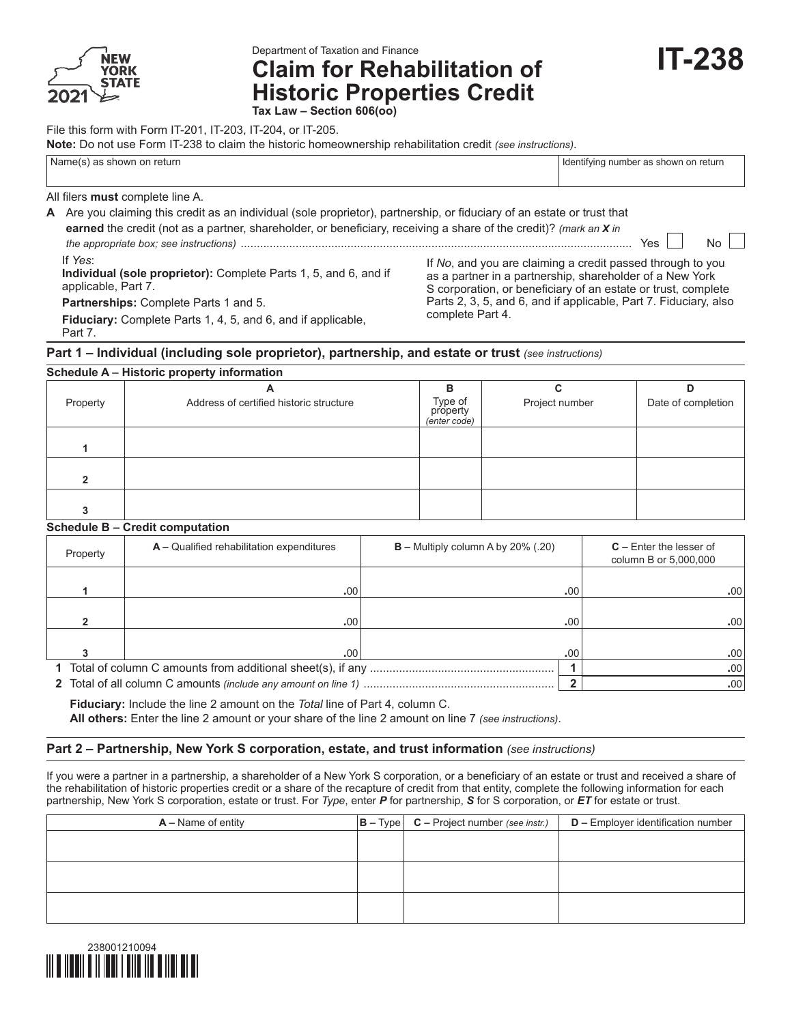

Department of Taxation and Finance

**Claim for Rehabilitation of Historic Properties Credit Tax Law – Section 606(oo)**

File this form with Form IT-201, IT-203, IT-204, or IT-205.

**Note:** Do not use Form IT-238 to claim the historic homeownership rehabilitation credit *(see instructions)*.

Name(s) as shown on return in the state of the state of the state of the state of the state of the state of the state of the state of the state of the state of the state of the state of the state of the state of the state

**IT-238**

All filers **must** complete line A.

**A** Are you claiming this credit as an individual (sole proprietor), partnership, or fiduciary of an estate or trust that **earned** the credit (not as a partner, shareholder, or beneficiary, receiving a share of the credit)? *(mark an X in the appropriate box; see instructions)* ......................................................................................................................... Yes No If *Yes*: **Individual (sole proprietor):** Complete Parts 1, 5, and 6, and if applicable, Part 7.

**Partnerships:** Complete Parts 1 and 5.

**Fiduciary:** Complete Parts 1, 4, 5, and 6, and if applicable, Part 7.

If *No*, and you are claiming a credit passed through to you as a partner in a partnership, shareholder of a New York S corporation, or beneficiary of an estate or trust, complete Parts 2, 3, 5, and 6, and if applicable, Part 7. Fiduciary, also complete Part 4.

#### **Part 1 – Individual (including sole proprietor), partnership, and estate or trust** *(see instructions)*

| Schedule A – Historic property information |                                         |                                     |                |                    |  |  |  |  |  |
|--------------------------------------------|-----------------------------------------|-------------------------------------|----------------|--------------------|--|--|--|--|--|
|                                            | A                                       | в                                   |                | D                  |  |  |  |  |  |
| Property                                   | Address of certified historic structure | Type of<br>property<br>(enter code) | Project number | Date of completion |  |  |  |  |  |
|                                            |                                         |                                     |                |                    |  |  |  |  |  |
|                                            |                                         |                                     |                |                    |  |  |  |  |  |
|                                            |                                         |                                     |                |                    |  |  |  |  |  |

#### **Schedule B – Credit computation**

| Property | $A -$ Qualified rehabilitation expenditures | $B$ – Multiply column A by 20% (.20) |                  | $C$ – Enter the lesser of<br>column B or 5,000,000 |
|----------|---------------------------------------------|--------------------------------------|------------------|----------------------------------------------------|
|          |                                             |                                      |                  |                                                    |
|          | .00                                         |                                      | .00 <sup>1</sup> | .00.                                               |
|          |                                             |                                      |                  |                                                    |
|          | .00                                         |                                      | .00.             | .00                                                |
|          |                                             |                                      |                  |                                                    |
|          | .00                                         |                                      | .00              | .00                                                |
|          |                                             |                                      |                  | .00                                                |
|          |                                             |                                      |                  | .00                                                |

 **Fiduciary:** Include the line 2 amount on the *Total* line of Part 4, column C.  **All others:** Enter the line 2 amount or your share of the line 2 amount on line 7 *(see instructions)*.

#### **Part 2 – Partnership, New York S corporation, estate, and trust information** *(see instructions)*

If you were a partner in a partnership, a shareholder of a New York S corporation, or a beneficiary of an estate or trust and received a share of the rehabilitation of historic properties credit or a share of the recapture of credit from that entity, complete the following information for each partnership, New York S corporation, estate or trust. For *Type*, enter *P* for partnership, *S* for S corporation, or *ET* for estate or trust.

| $A -$ Name of entity | $ B - Type $ $C - Project number (see instr.)$ | <b>D</b> - Employer identification number |
|----------------------|------------------------------------------------|-------------------------------------------|
|                      |                                                |                                           |
|                      |                                                |                                           |
|                      |                                                |                                           |
|                      |                                                |                                           |
|                      |                                                |                                           |
|                      |                                                |                                           |